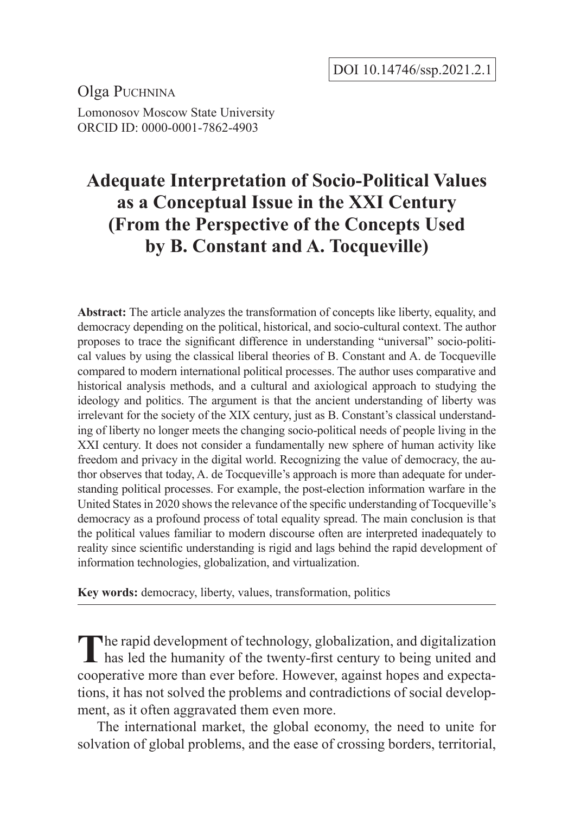Olga Puchnina Lomonosov Moscow State University ORCID ID: 0000-0001-7862-4903

# **Adequate Interpretation of Socio-Political Values as a Conceptual Issue in the XXI Century (From the Perspective of the Concepts Used by B. Constant and A. Tocqueville)**

**Abstract:** The article analyzes the transformation of concepts like liberty, equality, and democracy depending on the political, historical, and socio-cultural context. The author proposes to trace the significant difference in understanding "universal" socio-political values by using the classical liberal theories of B. Constant and A. de Tocqueville compared to modern international political processes. The author uses comparative and historical analysis methods, and a cultural and axiological approach to studying the ideology and politics. The argument is that the ancient understanding of liberty was irrelevant for the society of the XIX century, just as B. Constant's classical understanding of liberty no longer meets the changing socio-political needs of people living in the XXI century. It does not consider a fundamentally new sphere of human activity like freedom and privacy in the digital world. Recognizing the value of democracy, the author observes that today, A. de Tocqueville's approach is more than adequate for understanding political processes. For example, the post-election information warfare in the United States in 2020 shows the relevance of the specific understanding of Tocqueville's democracy as a profound process of total equality spread. The main conclusion is that the political values familiar to modern discourse often are interpreted inadequately to reality since scientific understanding is rigid and lags behind the rapid development of information technologies, globalization, and virtualization.

**Key words:** democracy, liberty, values, transformation, politics

The rapid development of technology, globalization, and digitalization has led the humanity of the twenty-first century to being united and cooperative more than ever before. However, against hopes and expectations, it has not solved the problems and contradictions of social development, as it often aggravated them even more.

The international market, the global economy, the need to unite for solvation of global problems, and the ease of crossing borders, territorial,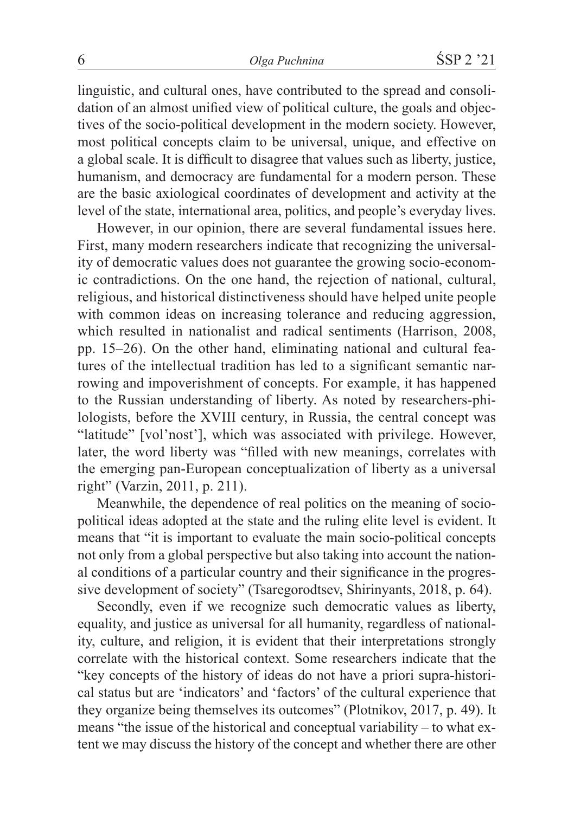linguistic, and cultural ones, have contributed to the spread and consolidation of an almost unified view of political culture, the goals and objectives of the socio-political development in the modern society. However, most political concepts claim to be universal, unique, and effective on a global scale. It is difficult to disagree that values such as liberty, justice, humanism, and democracy are fundamental for a modern person. These are the basic axiological coordinates of development and activity at the level of the state, international area, politics, and people's everyday lives.

However, in our opinion, there are several fundamental issues here. First, many modern researchers indicate that recognizing the universality of democratic values does not guarantee the growing socio-economic contradictions. On the one hand, the rejection of national, cultural, religious, and historical distinctiveness should have helped unite people with common ideas on increasing tolerance and reducing aggression, which resulted in nationalist and radical sentiments (Harrison, 2008, pp. 15–26). On the other hand, eliminating national and cultural features of the intellectual tradition has led to a significant semantic narrowing and impoverishment of concepts. For example, it has happened to the Russian understanding of liberty. As noted by researchers-philologists, before the XVIII century, in Russia, the central concept was "latitude" [vol'nost'], which was associated with privilege. However, later, the word liberty was "filled with new meanings, correlates with the emerging pan-European conceptualization of liberty as a universal right" (Varzin, 2011, p. 211).

Meanwhile, the dependence of real politics on the meaning of sociopolitical ideas adopted at the state and the ruling elite level is evident. It means that "it is important to evaluate the main socio-political concepts not only from a global perspective but also taking into account the national conditions of a particular country and their significance in the progressive development of society" (Tsaregorodtsev, Shirinyants, 2018, p. 64).

Secondly, even if we recognize such democratic values as liberty, equality, and justice as universal for all humanity, regardless of nationality, culture, and religion, it is evident that their interpretations strongly correlate with the historical context. Some researchers indicate that the "key concepts of the history of ideas do not have a priori supra-historical status but are 'indicators' and 'factors' of the cultural experience that they organize being themselves its outcomes" (Plotnikov, 2017, p. 49). It means "the issue of the historical and conceptual variability – to what extent we may discuss the history of the concept and whether there are other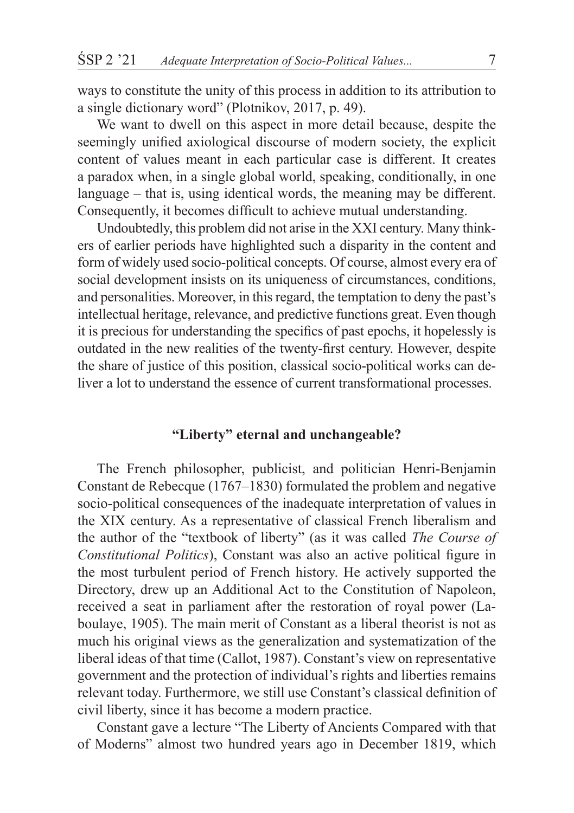ways to constitute the unity of this process in addition to its attribution to a single dictionary word" (Plotnikov, 2017, p. 49).

We want to dwell on this aspect in more detail because, despite the seemingly unified axiological discourse of modern society, the explicit content of values meant in each particular case is different. It creates a paradox when, in a single global world, speaking, conditionally, in one language – that is, using identical words, the meaning may be different. Consequently, it becomes difficult to achieve mutual understanding.

Undoubtedly, this problem did not arise in the XXI century. Many thinkers of earlier periods have highlighted such a disparity in the content and form of widely used socio-political concepts. Of course, almost every era of social development insists on its uniqueness of circumstances, conditions, and personalities. Moreover, in this regard, the temptation to deny the past's intellectual heritage, relevance, and predictive functions great. Even though it is precious for understanding the specifics of past epochs, it hopelessly is outdated in the new realities of the twenty-first century. However, despite the share of justice of this position, classical socio-political works can deliver a lot to understand the essence of current transformational processes.

### **"Liberty" eternal and unchangeable?**

The French philosopher, publicist, and politician Henri-Benjamin Constant de Rebecque (1767–1830) formulated the problem and negative socio-political consequences of the inadequate interpretation of values in the XIX century. As a representative of classical French liberalism and the author of the "textbook of liberty" (as it was called *The Course of Constitutional Politics*), Constant was also an active political figure in the most turbulent period of French history. He actively supported the Directory, drew up an Additional Act to the Constitution of Napoleon, received a seat in parliament after the restoration of royal power (Laboulaye, 1905). The main merit of Constant as a liberal theorist is not as much his original views as the generalization and systematization of the liberal ideas of that time (Callot, 1987). Constant's view on representative government and the protection of individual's rights and liberties remains relevant today. Furthermore, we still use Constant's classical definition of civil liberty, since it has become a modern practice.

Constant gave a lecture "The Liberty of Ancients Compared with that of Moderns" almost two hundred years ago in December 1819, which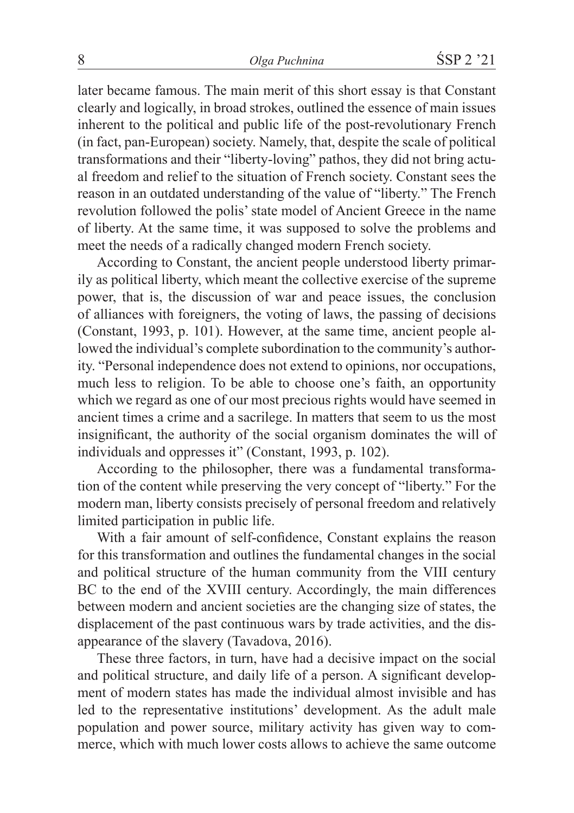later became famous. The main merit of this short essay is that Constant clearly and logically, in broad strokes, outlined the essence of main issues inherent to the political and public life of the post-revolutionary French (in fact, pan-European) society. Namely, that, despite the scale of political transformations and their "liberty-loving" pathos, they did not bring actual freedom and relief to the situation of French society. Constant sees the reason in an outdated understanding of the value of "liberty." The French revolution followed the polis' state model of Ancient Greece in the name of liberty. At the same time, it was supposed to solve the problems and meet the needs of a radically changed modern French society.

According to Constant, the ancient people understood liberty primarily as political liberty, which meant the collective exercise of the supreme power, that is, the discussion of war and peace issues, the conclusion of alliances with foreigners, the voting of laws, the passing of decisions (Constant, 1993, p. 101). However, at the same time, ancient people allowed the individual's complete subordination to the community's authority. "Personal independence does not extend to opinions, nor occupations, much less to religion. To be able to choose one's faith, an opportunity which we regard as one of our most precious rights would have seemed in ancient times a crime and a sacrilege. In matters that seem to us the most insignificant, the authority of the social organism dominates the will of individuals and oppresses it" (Constant, 1993, p. 102).

According to the philosopher, there was a fundamental transformation of the content while preserving the very concept of "liberty." For the modern man, liberty consists precisely of personal freedom and relatively limited participation in public life.

With a fair amount of self-confidence, Constant explains the reason for this transformation and outlines the fundamental changes in the social and political structure of the human community from the VIII century BC to the end of the XVIII century. Accordingly, the main differences between modern and ancient societies are the changing size of states, the displacement of the past continuous wars by trade activities, and the disappearance of the slavery (Tavadova, 2016).

These three factors, in turn, have had a decisive impact on the social and political structure, and daily life of a person. A significant development of modern states has made the individual almost invisible and has led to the representative institutions' development. As the adult male population and power source, military activity has given way to commerce, which with much lower costs allows to achieve the same outcome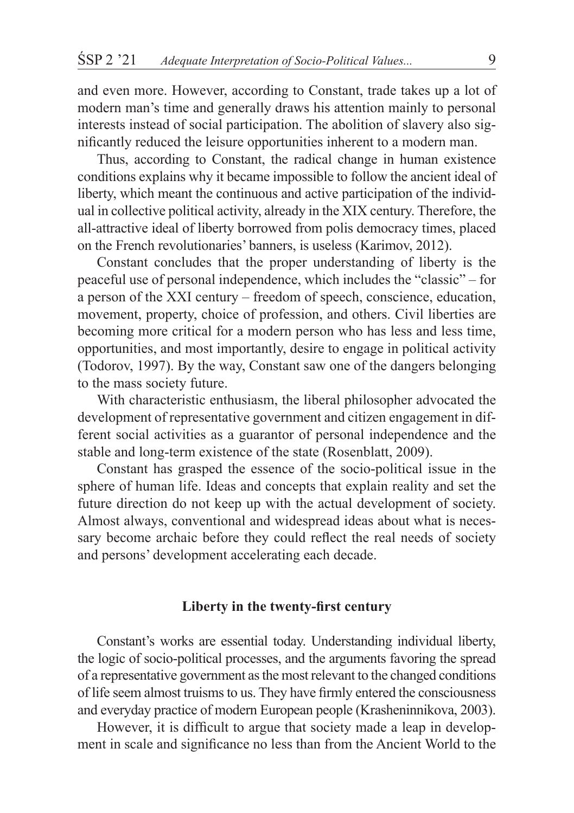and even more. However, according to Constant, trade takes up a lot of modern man's time and generally draws his attention mainly to personal interests instead of social participation. The abolition of slavery also significantly reduced the leisure opportunities inherent to a modern man.

Thus, according to Constant, the radical change in human existence conditions explains why it became impossible to follow the ancient ideal of liberty, which meant the continuous and active participation of the individual in collective political activity, already in the XIX century. Therefore, the all-attractive ideal of liberty borrowed from polis democracy times, placed on the French revolutionaries' banners, is useless (Karimov, 2012).

Constant concludes that the proper understanding of liberty is the peaceful use of personal independence, which includes the "classic" – for a person of the XXI century – freedom of speech, conscience, education, movement, property, choice of profession, and others. Civil liberties are becoming more critical for a modern person who has less and less time, opportunities, and most importantly, desire to engage in political activity (Todorov, 1997). By the way, Constant saw one of the dangers belonging to the mass society future.

With characteristic enthusiasm, the liberal philosopher advocated the development of representative government and citizen engagement in different social activities as a guarantor of personal independence and the stable and long-term existence of the state (Rosenblatt, 2009).

Constant has grasped the essence of the socio-political issue in the sphere of human life. Ideas and concepts that explain reality and set the future direction do not keep up with the actual development of society. Almost always, conventional and widespread ideas about what is necessary become archaic before they could reflect the real needs of society and persons' development accelerating each decade.

#### **Liberty in the twenty-first century**

Constant's works are essential today. Understanding individual liberty, the logic of socio-political processes, and the arguments favoring the spread of a representative government as the most relevant to the changed conditions of life seem almost truisms to us. They have firmly entered the consciousness and everyday practice of modern European people (Krasheninnikova, 2003).

However, it is difficult to argue that society made a leap in development in scale and significance no less than from the Ancient World to the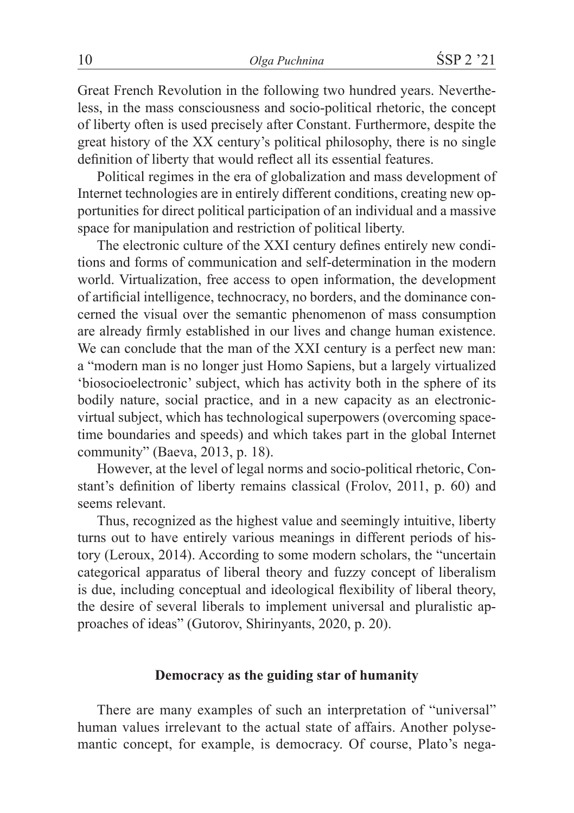Great French Revolution in the following two hundred years. Nevertheless, in the mass consciousness and socio-political rhetoric, the concept of liberty often is used precisely after Constant. Furthermore, despite the great history of the XX century's political philosophy, there is no single definition of liberty that would reflect all its essential features.

Political regimes in the era of globalization and mass development of Internet technologies are in entirely different conditions, creating new opportunities for direct political participation of an individual and a massive space for manipulation and restriction of political liberty.

The electronic culture of the XXI century defines entirely new conditions and forms of communication and self-determination in the modern world. Virtualization, free access to open information, the development of artificial intelligence, technocracy, no borders, and the dominance concerned the visual over the semantic phenomenon of mass consumption are already firmly established in our lives and change human existence. We can conclude that the man of the XXI century is a perfect new man: a "modern man is no longer just Homo Sapiens, but a largely virtualized 'biosocioelectronic' subject, which has activity both in the sphere of its bodily nature, social practice, and in a new capacity as an electronicvirtual subject, which has technological superpowers (overcoming spacetime boundaries and speeds) and which takes part in the global Internet community" (Baeva, 2013, p. 18).

However, at the level of legal norms and socio-political rhetoric, Constant's definition of liberty remains classical (Frolov, 2011, p. 60) and seems relevant.

Thus, recognized as the highest value and seemingly intuitive, liberty turns out to have entirely various meanings in different periods of history (Leroux, 2014). According to some modern scholars, the "uncertain categorical apparatus of liberal theory and fuzzy concept of liberalism is due, including conceptual and ideological flexibility of liberal theory, the desire of several liberals to implement universal and pluralistic approaches of ideas" (Gutorov, Shirinyants, 2020, p. 20).

# **Democracy as the guiding star of humanity**

There are many examples of such an interpretation of "universal" human values irrelevant to the actual state of affairs. Another polysemantic concept, for example, is democracy. Of course, Plato's nega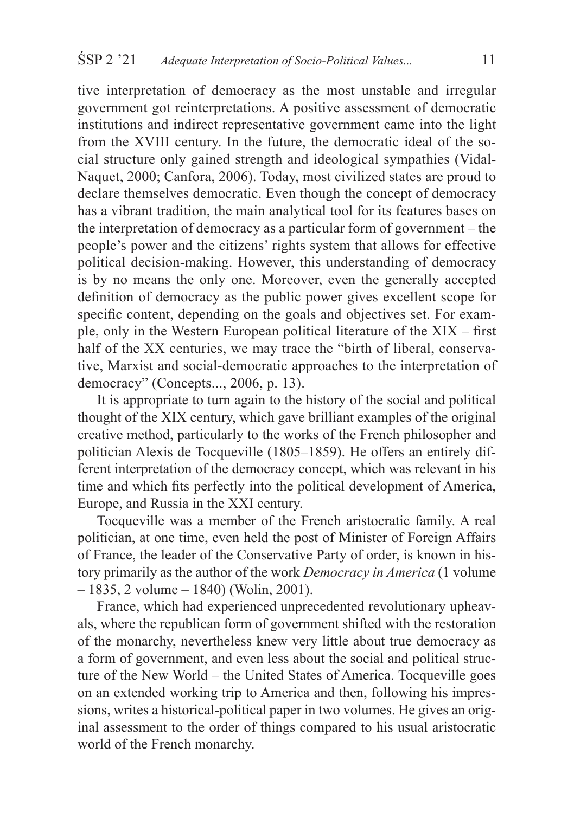tive interpretation of democracy as the most unstable and irregular government got reinterpretations. A positive assessment of democratic institutions and indirect representative government came into the light from the XVIII century. In the future, the democratic ideal of the social structure only gained strength and ideological sympathies (Vidal-Naquet, 2000; Canfora, 2006). Today, most civilized states are proud to declare themselves democratic. Even though the concept of democracy has a vibrant tradition, the main analytical tool for its features bases on the interpretation of democracy as a particular form of government – the people's power and the citizens' rights system that allows for effective political decision-making. However, this understanding of democracy is by no means the only one. Moreover, even the generally accepted definition of democracy as the public power gives excellent scope for specific content, depending on the goals and objectives set. For example, only in the Western European political literature of the XIX – first half of the XX centuries, we may trace the "birth of liberal, conservative, Marxist and social-democratic approaches to the interpretation of democracy" (Concepts..., 2006, p. 13).

It is appropriate to turn again to the history of the social and political thought of the XIX century, which gave brilliant examples of the original creative method, particularly to the works of the French philosopher and politician Alexis de Tocqueville (1805–1859). He offers an entirely different interpretation of the democracy concept, which was relevant in his time and which fits perfectly into the political development of America, Europe, and Russia in the XXI century.

Tocqueville was a member of the French aristocratic family. A real politician, at one time, even held the post of Minister of Foreign Affairs of France, the leader of the Conservative Party of order, is known in history primarily as the author of the work *Democracy in America* (1 volume  $-1835$ , 2 volume  $-1840$ ) (Wolin, 2001).

France, which had experienced unprecedented revolutionary upheavals, where the republican form of government shifted with the restoration of the monarchy, nevertheless knew very little about true democracy as a form of government, and even less about the social and political structure of the New World – the United States of America. Tocqueville goes on an extended working trip to America and then, following his impressions, writes a historical-political paper in two volumes. He gives an original assessment to the order of things compared to his usual aristocratic world of the French monarchy.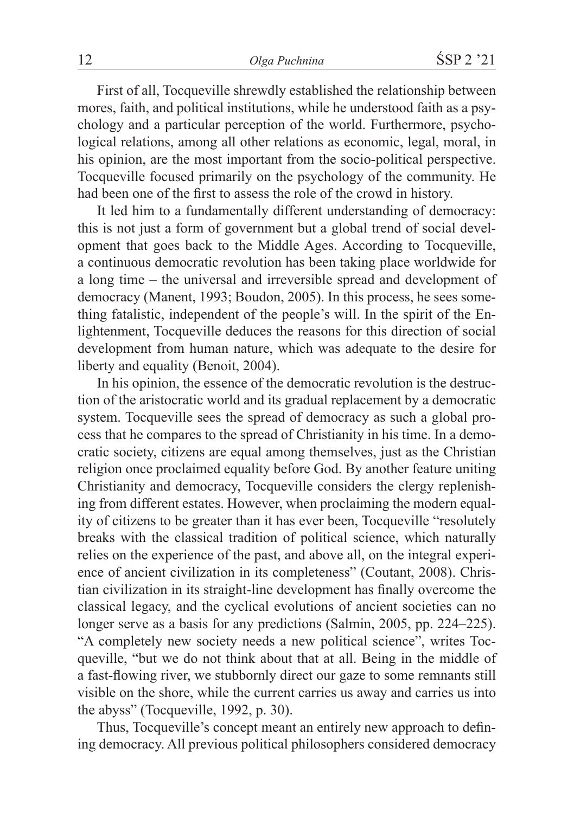First of all, Tocqueville shrewdly established the relationship between mores, faith, and political institutions, while he understood faith as a psychology and a particular perception of the world. Furthermore, psychological relations, among all other relations as economic, legal, moral, in his opinion, are the most important from the socio-political perspective. Tocqueville focused primarily on the psychology of the community. He had been one of the first to assess the role of the crowd in history.

It led him to a fundamentally different understanding of democracy: this is not just a form of government but a global trend of social development that goes back to the Middle Ages. According to Tocqueville, a continuous democratic revolution has been taking place worldwide for a long time – the universal and irreversible spread and development of democracy (Manent, 1993; Boudon, 2005). In this process, he sees something fatalistic, independent of the people's will. In the spirit of the Enlightenment, Tocqueville deduces the reasons for this direction of social development from human nature, which was adequate to the desire for liberty and equality (Benoit, 2004).

In his opinion, the essence of the democratic revolution is the destruction of the aristocratic world and its gradual replacement by a democratic system. Tocqueville sees the spread of democracy as such a global process that he compares to the spread of Christianity in his time. In a democratic society, citizens are equal among themselves, just as the Christian religion once proclaimed equality before God. By another feature uniting Christianity and democracy, Tocqueville considers the clergy replenishing from different estates. However, when proclaiming the modern equality of citizens to be greater than it has ever been, Tocqueville "resolutely breaks with the classical tradition of political science, which naturally relies on the experience of the past, and above all, on the integral experience of ancient civilization in its completeness" (Coutant, 2008). Christian civilization in its straight-line development has finally overcome the classical legacy, and the cyclical evolutions of ancient societies can no longer serve as a basis for any predictions (Salmin, 2005, pp. 224–225). "A completely new society needs a new political science", writes Tocqueville, "but we do not think about that at all. Being in the middle of a fast-flowing river, we stubbornly direct our gaze to some remnants still visible on the shore, while the current carries us away and carries us into the abyss" (Tocqueville, 1992, p. 30).

Thus, Tocqueville's concept meant an entirely new approach to defining democracy. All previous political philosophers considered democracy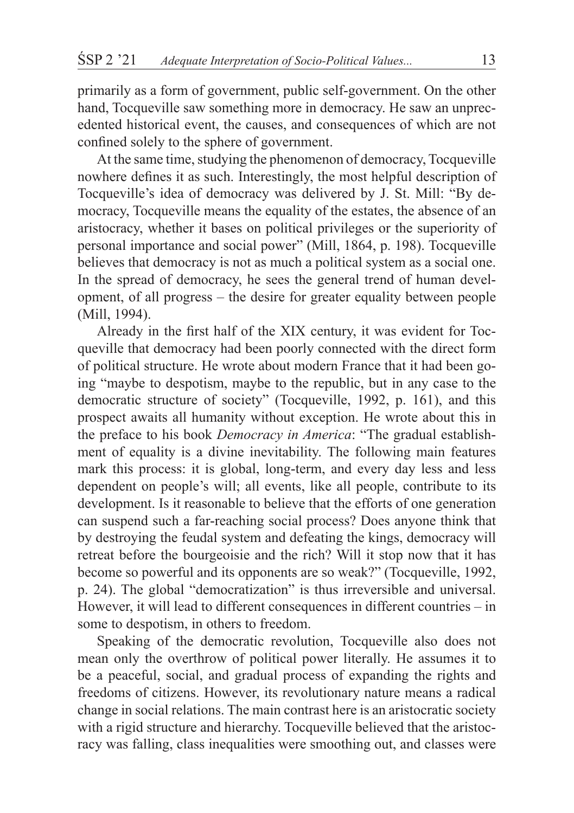primarily as a form of government, public self-government. On the other hand, Tocqueville saw something more in democracy. He saw an unprecedented historical event, the causes, and consequences of which are not confined solely to the sphere of government.

At the same time, studying the phenomenon of democracy, Tocqueville nowhere defines it as such. Interestingly, the most helpful description of Tocqueville's idea of democracy was delivered by J. St. Mill: "By democracy, Tocqueville means the equality of the estates, the absence of an aristocracy, whether it bases on political privileges or the superiority of personal importance and social power" (Mill, 1864, p. 198). Tocqueville believes that democracy is not as much a political system as a social one. In the spread of democracy, he sees the general trend of human development, of all progress – the desire for greater equality between people (Mill, 1994).

Already in the first half of the XIX century, it was evident for Tocqueville that democracy had been poorly connected with the direct form of political structure. He wrote about modern France that it had been going "maybe to despotism, maybe to the republic, but in any case to the democratic structure of society" (Tocqueville, 1992, p. 161), and this prospect awaits all humanity without exception. He wrote about this in the preface to his book *Democracy in America*: "The gradual establishment of equality is a divine inevitability. The following main features mark this process: it is global, long-term, and every day less and less dependent on people's will; all events, like all people, contribute to its development. Is it reasonable to believe that the efforts of one generation can suspend such a far-reaching social process? Does anyone think that by destroying the feudal system and defeating the kings, democracy will retreat before the bourgeoisie and the rich? Will it stop now that it has become so powerful and its opponents are so weak?" (Tocqueville, 1992, p. 24). The global "democratization" is thus irreversible and universal. However, it will lead to different consequences in different countries – in some to despotism, in others to freedom.

Speaking of the democratic revolution, Tocqueville also does not mean only the overthrow of political power literally. He assumes it to be a peaceful, social, and gradual process of expanding the rights and freedoms of citizens. However, its revolutionary nature means a radical change in social relations. The main contrast here is an aristocratic society with a rigid structure and hierarchy. Tocqueville believed that the aristocracy was falling, class inequalities were smoothing out, and classes were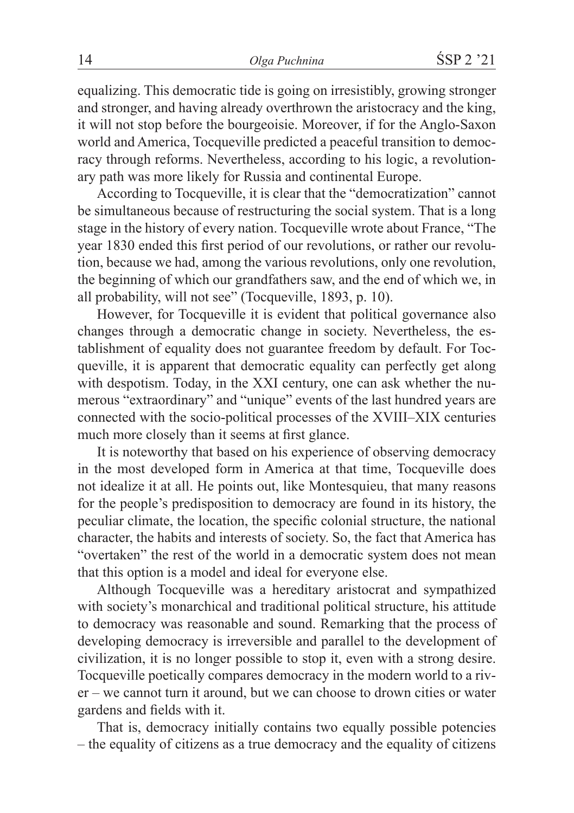equalizing. This democratic tide is going on irresistibly, growing stronger and stronger, and having already overthrown the aristocracy and the king, it will not stop before the bourgeoisie. Moreover, if for the Anglo-Saxon world and America, Tocqueville predicted a peaceful transition to democracy through reforms. Nevertheless, according to his logic, a revolutionary path was more likely for Russia and continental Europe.

According to Tocqueville, it is clear that the "democratization" cannot be simultaneous because of restructuring the social system. That is a long stage in the history of every nation. Tocqueville wrote about France, "The year 1830 ended this first period of our revolutions, or rather our revolution, because we had, among the various revolutions, only one revolution, the beginning of which our grandfathers saw, and the end of which we, in all probability, will not see" (Tocqueville, 1893, p. 10).

However, for Tocqueville it is evident that political governance also changes through a democratic change in society. Nevertheless, the establishment of equality does not guarantee freedom by default. For Tocqueville, it is apparent that democratic equality can perfectly get along with despotism. Today, in the XXI century, one can ask whether the numerous "extraordinary" and "unique" events of the last hundred years are connected with the socio-political processes of the XVIII–XIX centuries much more closely than it seems at first glance.

It is noteworthy that based on his experience of observing democracy in the most developed form in America at that time, Tocqueville does not idealize it at all. He points out, like Montesquieu, that many reasons for the people's predisposition to democracy are found in its history, the peculiar climate, the location, the specific colonial structure, the national character, the habits and interests of society. So, the fact that America has "overtaken" the rest of the world in a democratic system does not mean that this option is a model and ideal for everyone else.

Although Tocqueville was a hereditary aristocrat and sympathized with society's monarchical and traditional political structure, his attitude to democracy was reasonable and sound. Remarking that the process of developing democracy is irreversible and parallel to the development of civilization, it is no longer possible to stop it, even with a strong desire. Tocqueville poetically compares democracy in the modern world to a river – we cannot turn it around, but we can choose to drown cities or water gardens and fields with it.

That is, democracy initially contains two equally possible potencies – the equality of citizens as a true democracy and the equality of citizens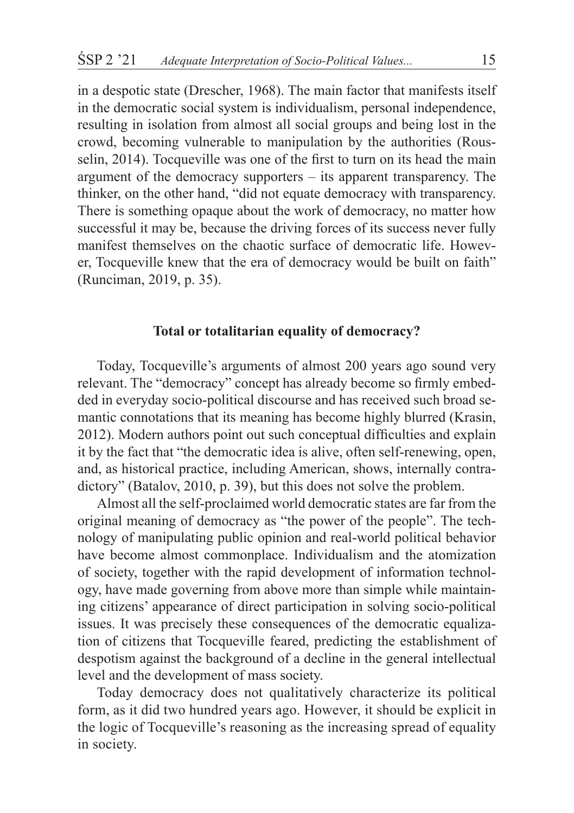in a despotic state (Drescher, 1968). The main factor that manifests itself in the democratic social system is individualism, personal independence, resulting in isolation from almost all social groups and being lost in the crowd, becoming vulnerable to manipulation by the authorities (Rousselin, 2014). Tocqueville was one of the first to turn on its head the main argument of the democracy supporters – its apparent transparency. The thinker, on the other hand, "did not equate democracy with transparency. There is something opaque about the work of democracy, no matter how successful it may be, because the driving forces of its success never fully manifest themselves on the chaotic surface of democratic life. However, Tocqueville knew that the era of democracy would be built on faith" (Runciman, 2019, p. 35).

# **Total or totalitarian equality of democracy?**

Today, Tocqueville's arguments of almost 200 years ago sound very relevant. The "democracy" concept has already become so firmly embedded in everyday socio-political discourse and has received such broad semantic connotations that its meaning has become highly blurred (Krasin, 2012). Modern authors point out such conceptual difficulties and explain it by the fact that "the democratic idea is alive, often self-renewing, open, and, as historical practice, including American, shows, internally contradictory" (Batalov, 2010, p. 39), but this does not solve the problem.

Almost all the self-proclaimed world democratic states are far from the original meaning of democracy as "the power of the people". The technology of manipulating public opinion and real-world political behavior have become almost commonplace. Individualism and the atomization of society, together with the rapid development of information technology, have made governing from above more than simple while maintaining citizens' appearance of direct participation in solving socio-political issues. It was precisely these consequences of the democratic equalization of citizens that Tocqueville feared, predicting the establishment of despotism against the background of a decline in the general intellectual level and the development of mass society.

Today democracy does not qualitatively characterize its political form, as it did two hundred years ago. However, it should be explicit in the logic of Tocqueville's reasoning as the increasing spread of equality in society.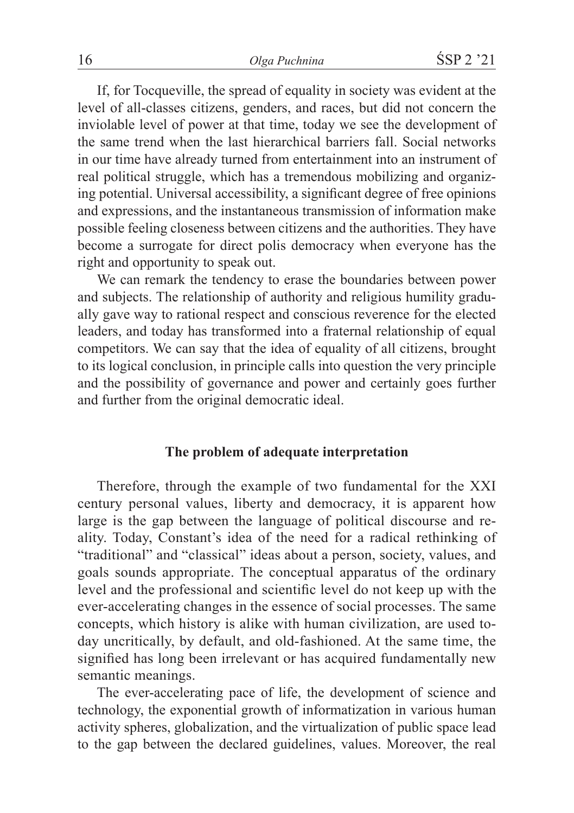If, for Tocqueville, the spread of equality in society was evident at the level of all-classes citizens, genders, and races, but did not concern the inviolable level of power at that time, today we see the development of the same trend when the last hierarchical barriers fall. Social networks in our time have already turned from entertainment into an instrument of real political struggle, which has a tremendous mobilizing and organizing potential. Universal accessibility, a significant degree of free opinions and expressions, and the instantaneous transmission of information make possible feeling closeness between citizens and the authorities. They have become a surrogate for direct polis democracy when everyone has the right and opportunity to speak out.

We can remark the tendency to erase the boundaries between power and subjects. The relationship of authority and religious humility gradually gave way to rational respect and conscious reverence for the elected leaders, and today has transformed into a fraternal relationship of equal competitors. We can say that the idea of equality of all citizens, brought to its logical conclusion, in principle calls into question the very principle and the possibility of governance and power and certainly goes further and further from the original democratic ideal.

#### **The problem of adequate interpretation**

Therefore, through the example of two fundamental for the XXI century personal values, liberty and democracy, it is apparent how large is the gap between the language of political discourse and reality. Today, Constant's idea of the need for a radical rethinking of "traditional" and "classical" ideas about a person, society, values, and goals sounds appropriate. The conceptual apparatus of the ordinary level and the professional and scientific level do not keep up with the ever-accelerating changes in the essence of social processes. The same concepts, which history is alike with human civilization, are used today uncritically, by default, and old-fashioned. At the same time, the signified has long been irrelevant or has acquired fundamentally new semantic meanings.

The ever-accelerating pace of life, the development of science and technology, the exponential growth of informatization in various human activity spheres, globalization, and the virtualization of public space lead to the gap between the declared guidelines, values. Moreover, the real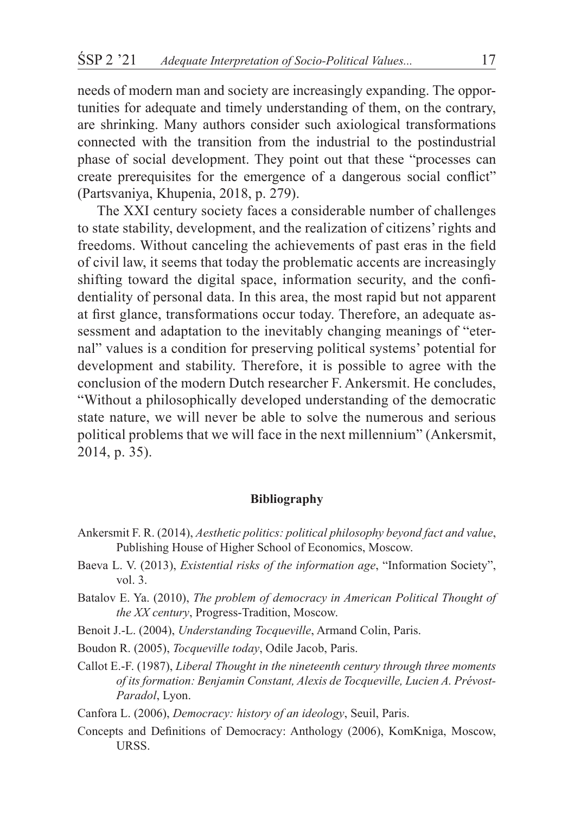needs of modern man and society are increasingly expanding. The opportunities for adequate and timely understanding of them, on the contrary, are shrinking. Many authors consider such axiological transformations connected with the transition from the industrial to the postindustrial phase of social development. They point out that these "processes can create prerequisites for the emergence of a dangerous social conflict" (Partsvaniya, Khupenia, 2018, p. 279).

The XXI century society faces a considerable number of challenges to state stability, development, and the realization of citizens' rights and freedoms. Without canceling the achievements of past eras in the field of civil law, it seems that today the problematic accents are increasingly shifting toward the digital space, information security, and the confidentiality of personal data. In this area, the most rapid but not apparent at first glance, transformations occur today. Therefore, an adequate assessment and adaptation to the inevitably changing meanings of "eternal" values is a condition for preserving political systems' potential for development and stability. Therefore, it is possible to agree with the conclusion of the modern Dutch researcher F. Ankersmit. He concludes, "Without a philosophically developed understanding of the democratic state nature, we will never be able to solve the numerous and serious political problems that we will face in the next millennium" (Ankersmit, 2014, p. 35).

#### **Bibliography**

- Ankersmit F. R. (2014), *Aesthetic politics: political philosophy beyond fact and value*, Publishing House of Higher School of Economics, Moscow.
- Baeva L. V. (2013), *Existential risks of the information age*, "Information Society", vol. 3.
- Batalov E. Ya. (2010), *The problem of democracy in American Political Thought of the XX century*, Progress-Tradition, Moscow.
- Benoit J.-L. (2004), *Understanding Tocqueville*, Armand Colin, Paris.
- Boudon R. (2005), *Tocqueville today*, Odile Jacob, Paris.
- Callot E.-F. (1987), *Liberal Thought in the nineteenth century through three moments of its formation: Benjamin Constant, Alexis de Tocqueville, Lucien A. Prévost-Paradol*, Lyon.
- Canfora L. (2006), *Democracy: history of an ideology*, Seuil, Paris.
- Concepts and Definitions of Democracy: Anthology (2006), KomKniga, Moscow, URSS.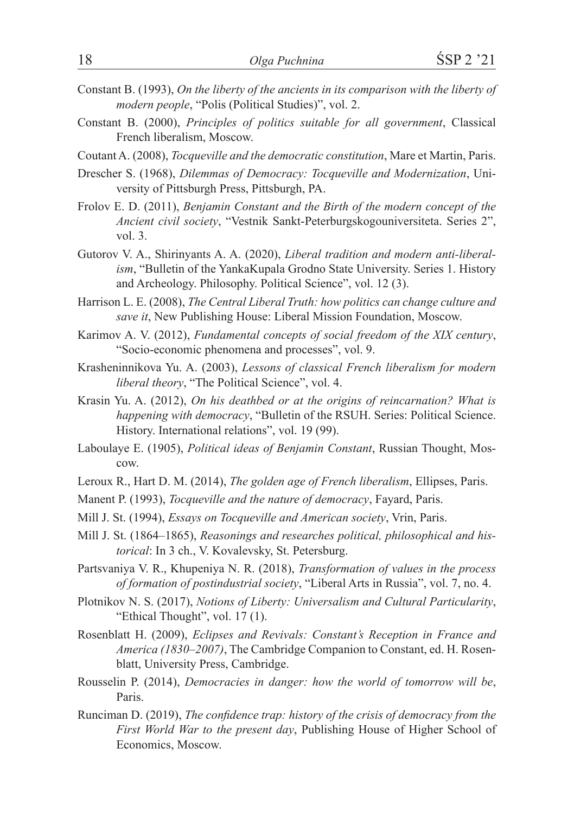- Constant B. (1993), *On the liberty of the ancients in its comparison with the liberty of modern people*, "Polis (Political Studies)", vol. 2.
- Constant B. (2000), *Principles of politics suitable for all government*, Classical French liberalism, Moscow.
- Coutant A. (2008), *Tocqueville and the democratic constitution*, Mare et Martin, Paris.
- Drescher S. (1968), *Dilemmas of Democracy: Tocqueville and Modernization*, University of Pittsburgh Press, Pittsburgh, PA.
- Frolov E. D. (2011), *Benjamin Constant and the Birth of the modern concept of the Ancient civil society*, "Vestnik Sankt-Peterburgskogouniversiteta. Series 2", vol. 3.
- Gutorov V. A., Shirinyants A. A. (2020), *Liberal tradition and modern anti-liberalism*, "Bulletin of the YankaKupala Grodno State University. Series 1. History and Archeology. Philosophy. Political Science", vol. 12 (3).
- Harrison L. E. (2008), *The Central Liberal Truth: how politics can change culture and save it*, New Publishing House: Liberal Mission Foundation, Moscow.
- Karimov A. V. (2012), *Fundamental concepts of social freedom of the XIX century*, "Socio-economic phenomena and processes", vol. 9.
- Krasheninnikova Yu. A. (2003), *Lessons of classical French liberalism for modern liberal theory*, "The Political Science", vol. 4.
- Krasin Yu. A. (2012), *On his deathbed or at the origins of reincarnation? What is happening with democracy*, "Bulletin of the RSUH. Series: Political Science. History. International relations", vol. 19 (99).
- Laboulaye E. (1905), *Political ideas of Benjamin Constant*, Russian Thought, Moscow.
- Leroux R., Hart D. M. (2014), *The golden age of French liberalism*, Ellipses, Paris.
- Manent P. (1993), *Tocqueville and the nature of democracy*, Fayard, Paris.
- Mill J. St. (1994), *Essays on Tocqueville and American society*, Vrin, Paris.
- Mill J. St. (1864–1865), *Reasonings and researches political, philosophical and historical*: In 3 ch., V. Kovalevsky, St. Petersburg.
- Partsvaniya V. R., Khupeniya N. R. (2018), *Transformation of values in the process of formation of postindustrial society*, "Liberal Arts in Russia", vol. 7, no. 4.
- Plotnikov N. S. (2017), *Notions of Liberty: Universalism and Cultural Particularity*, "Ethical Thought", vol. 17 (1).
- Rosenblatt H. (2009), *Eclipses and Revivals: Constant's Reception in France and America (1830–2007)*, The Cambridge Companion to Constant, ed. H. Rosenblatt, University Press, Cambridge.
- Rousselin P. (2014), *Democracies in danger: how the world of tomorrow will be*, Paris.
- Runciman D. (2019), *The confidence trap: history of the crisis of democracy from the First World War to the present day*, Publishing House of Higher School of Economics, Moscow.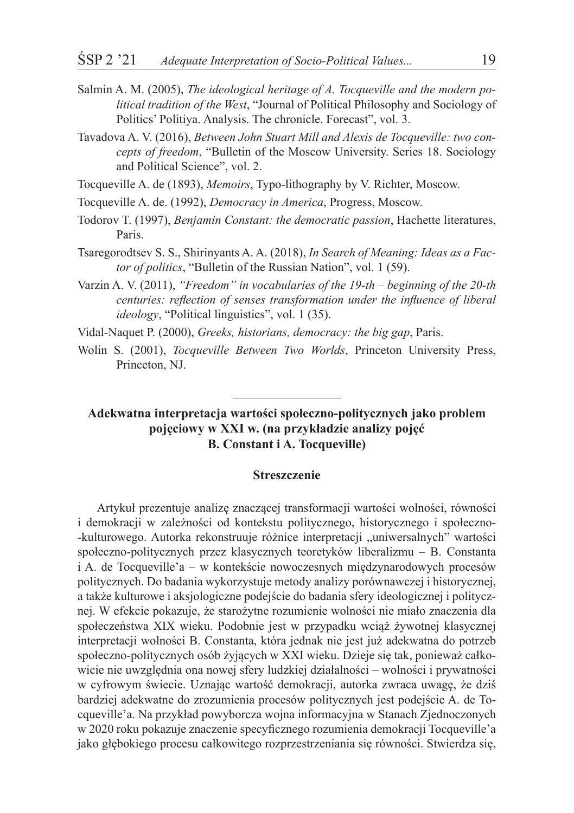- Salmin A. M. (2005), *The ideological heritage of A. Tocqueville and the modern political tradition of the West*, "Journal of Political Philosophy and Sociology of Politics' Politiya. Analysis. The chronicle. Forecast", vol. 3.
- Tavadova A. V. (2016), *Between John Stuart Mill and Alexis de Tocqueville: two concepts of freedom*, "Bulletin of the Moscow University. Series 18. Sociology and Political Science", vol. 2.

Tocqueville A. de (1893), *Memoirs*, Typo-lithography by V. Richter, Moscow.

- Tocqueville A. de. (1992), *Democracy in America*, Progress, Moscow.
- Todorov T. (1997), *Benjamin Constant: the democratic passion*, Hachette literatures, Paris.
- Tsaregorodtsev S. S., Shirinyants A. A. (2018), *In Search of Meaning: Ideas as a Factor of politics*, "Bulletin of the Russian Nation", vol. 1 (59).
- Varzin A. V. (2011), *"Freedom" in vocabularies of the 19-th beginning of the 20-th centuries: reflection of senses transformation under the influence of liberal ideology*, "Political linguistics", vol. 1 (35).

Vidal-Naquet P. (2000), *Greeks, historians, democracy: the big gap*, Paris.

Wolin S. (2001), *Tocqueville Between Two Worlds*, Princeton University Press, Princeton, NJ.

## **Adekwatna interpretacja wartości społeczno-politycznych jako problem pojęciowy w XXI w. (na przykładzie analizy pojęć B. Constant i A. Tocqueville)**

#### **Streszczenie**

Artykuł prezentuje analizę znaczącej transformacji wartości wolności, równości i demokracji w zależności od kontekstu politycznego, historycznego i społeczno- -kulturowego. Autorka rekonstruuje różnice interpretacji "uniwersalnych" wartości społeczno-politycznych przez klasycznych teoretyków liberalizmu – B. Constanta i A. de Tocqueville'a – w kontekście nowoczesnych międzynarodowych procesów politycznych. Do badania wykorzystuje metody analizy porównawczej i historycznej, a także kulturowe i aksjologiczne podejście do badania sfery ideologicznej i politycznej. W efekcie pokazuje, że starożytne rozumienie wolności nie miało znaczenia dla społeczeństwa XIX wieku. Podobnie jest w przypadku wciąż żywotnej klasycznej interpretacji wolności B. Constanta, która jednak nie jest już adekwatna do potrzeb społeczno-politycznych osób żyjących w XXI wieku. Dzieje się tak, ponieważ całkowicie nie uwzględnia ona nowej sfery ludzkiej działalności – wolności i prywatności w cyfrowym świecie. Uznając wartość demokracji, autorka zwraca uwagę, że dziś bardziej adekwatne do zrozumienia procesów politycznych jest podejście A. de Tocqueville'a. Na przykład powyborcza wojna informacyjna w Stanach Zjednoczonych w 2020 roku pokazuje znaczenie specyficznego rozumienia demokracji Tocqueville'a jako głębokiego procesu całkowitego rozprzestrzeniania się równości. Stwierdza się,